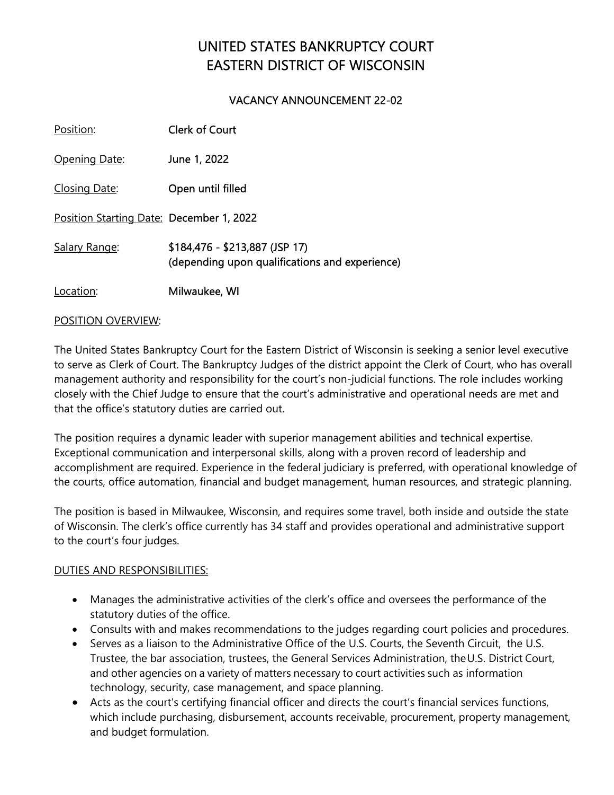# UNITED STATES BANKRUPTCY COURT EASTERN DISTRICT OF WISCONSIN

## VACANCY ANNOUNCEMENT 22-02

| Position:                                | <b>Clerk of Court</b>                                                            |
|------------------------------------------|----------------------------------------------------------------------------------|
| Opening Date:                            | June 1, 2022                                                                     |
| Closing Date:                            | Open until filled                                                                |
| Position Starting Date: December 1, 2022 |                                                                                  |
| Salary Range:                            | \$184,476 - \$213,887 (JSP 17)<br>(depending upon qualifications and experience) |
| Location:                                | Milwaukee, WI                                                                    |

## POSITION OVERVIEW:

The United States Bankruptcy Court for the Eastern District of Wisconsin is seeking a senior level executive to serve as Clerk of Court. The Bankruptcy Judges of the district appoint the Clerk of Court, who has overall management authority and responsibility for the court's non-judicial functions. The role includes working closely with the Chief Judge to ensure that the court's administrative and operational needs are met and that the office's statutory duties are carried out.

The position requires a dynamic leader with superior management abilities and technical expertise. Exceptional communication and interpersonal skills, along with a proven record of leadership and accomplishment are required. Experience in the federal judiciary is preferred, with operational knowledge of the courts, office automation, financial and budget management, human resources, and strategic planning.

The position is based in Milwaukee, Wisconsin, and requires some travel, both inside and outside the state of Wisconsin. The clerk's office currently has 34 staff and provides operational and administrative support to the court's four judges.

## DUTIES AND RESPONSIBILITIES:

- Manages the administrative activities of the clerk's office and oversees the performance of the statutory duties of the office.
- Consults with and makes recommendations to the judges regarding court policies and procedures.
- Serves as a liaison to the Administrative Office of the U.S. Courts, the Seventh Circuit, the U.S. Trustee, the bar association, trustees, the General Services Administration, the U.S. District Court, and other agencies on a variety of matters necessary to court activities such as information technology, security, case management, and space planning.
- Acts as the court's certifying financial officer and directs the court's financial services functions, which include purchasing, disbursement, accounts receivable, procurement, property management, and budget formulation.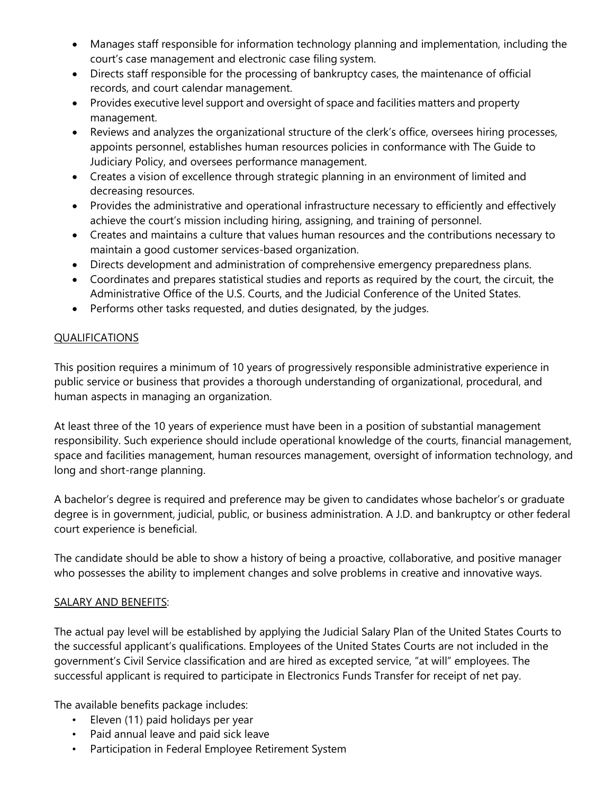- Manages staff responsible for information technology planning and implementation, including the court's case management and electronic case filing system.
- Directs staff responsible for the processing of bankruptcy cases, the maintenance of official records, and court calendar management.
- Provides executive level support and oversight of space and facilities matters and property management.
- Reviews and analyzes the organizational structure of the clerk's office, oversees hiring processes, appoints personnel, establishes human resources policies in conformance with The Guide to Judiciary Policy, and oversees performance management.
- Creates a vision of excellence through strategic planning in an environment of limited and decreasing resources.
- Provides the administrative and operational infrastructure necessary to efficiently and effectively achieve the court's mission including hiring, assigning, and training of personnel.
- Creates and maintains a culture that values human resources and the contributions necessary to maintain a good customer services-based organization.
- Directs development and administration of comprehensive emergency preparedness plans.
- Coordinates and prepares statistical studies and reports as required by the court, the circuit, the Administrative Office of the U.S. Courts, and the Judicial Conference of the United States.
- Performs other tasks requested, and duties designated, by the judges.

## QUALIFICATIONS

This position requires a minimum of 10 years of progressively responsible administrative experience in public service or business that provides a thorough understanding of organizational, procedural, and human aspects in managing an organization.

At least three of the 10 years of experience must have been in a position of substantial management responsibility. Such experience should include operational knowledge of the courts, financial management, space and facilities management, human resources management, oversight of information technology, and long and short-range planning.

A bachelor's degree is required and preference may be given to candidates whose bachelor's or graduate degree is in government, judicial, public, or business administration. A J.D. and bankruptcy or other federal court experience is beneficial.

The candidate should be able to show a history of being a proactive, collaborative, and positive manager who possesses the ability to implement changes and solve problems in creative and innovative ways.

## SALARY AND BENEFITS:

The actual pay level will be established by applying the Judicial Salary Plan of the United States Courts to the successful applicant's qualifications. Employees of the United States Courts are not included in the government's Civil Service classification and are hired as excepted service, "at will" employees. The successful applicant is required to participate in Electronics Funds Transfer for receipt of net pay.

The available benefits package includes:

- Eleven (11) paid holidays per year
- Paid annual leave and paid sick leave
- Participation in Federal Employee Retirement System